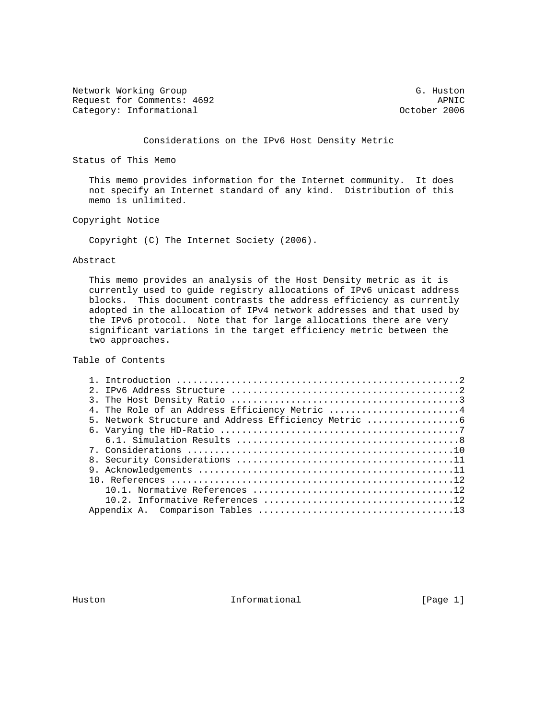Network Working Group G. Huston G. Huston Request for Comments: 4692 APNIC<br>Category: Informational and Category: APNIC Category: Informational

Considerations on the IPv6 Host Density Metric

Status of This Memo

 This memo provides information for the Internet community. It does not specify an Internet standard of any kind. Distribution of this memo is unlimited.

Copyright Notice

Copyright (C) The Internet Society (2006).

#### Abstract

 This memo provides an analysis of the Host Density metric as it is currently used to guide registry allocations of IPv6 unicast address blocks. This document contrasts the address efficiency as currently adopted in the allocation of IPv4 network addresses and that used by the IPv6 protocol. Note that for large allocations there are very significant variations in the target efficiency metric between the two approaches.

Table of Contents

| $\mathcal{P}$                                      |
|----------------------------------------------------|
|                                                    |
| 4. The Role of an Address Efficiency Metric 4      |
| 5. Network Structure and Address Efficiency Metric |
|                                                    |
|                                                    |
|                                                    |
|                                                    |
|                                                    |
|                                                    |
|                                                    |
|                                                    |
|                                                    |
|                                                    |

Huston **Informational Informational** [Page 1]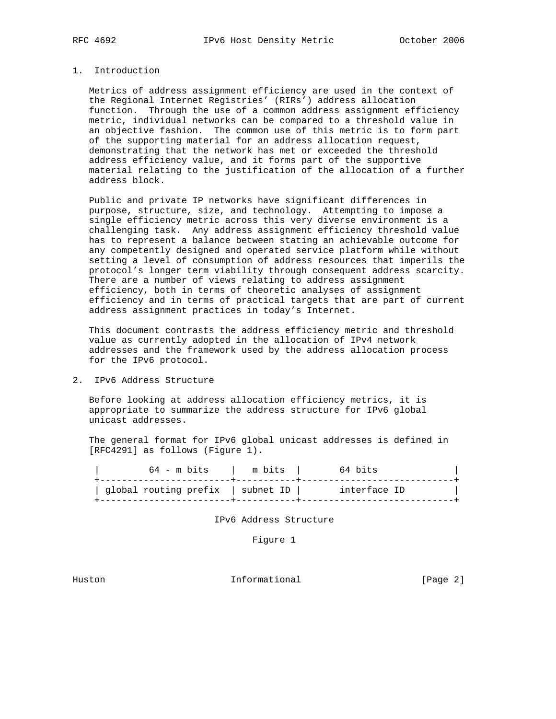# 1. Introduction

 Metrics of address assignment efficiency are used in the context of the Regional Internet Registries' (RIRs') address allocation function. Through the use of a common address assignment efficiency metric, individual networks can be compared to a threshold value in an objective fashion. The common use of this metric is to form part of the supporting material for an address allocation request, demonstrating that the network has met or exceeded the threshold address efficiency value, and it forms part of the supportive material relating to the justification of the allocation of a further address block.

 Public and private IP networks have significant differences in purpose, structure, size, and technology. Attempting to impose a single efficiency metric across this very diverse environment is a challenging task. Any address assignment efficiency threshold value has to represent a balance between stating an achievable outcome for any competently designed and operated service platform while without setting a level of consumption of address resources that imperils the protocol's longer term viability through consequent address scarcity. There are a number of views relating to address assignment efficiency, both in terms of theoretic analyses of assignment efficiency and in terms of practical targets that are part of current address assignment practices in today's Internet.

 This document contrasts the address efficiency metric and threshold value as currently adopted in the allocation of IPv4 network addresses and the framework used by the address allocation process for the IPv6 protocol.

2. IPv6 Address Structure

 Before looking at address allocation efficiency metrics, it is appropriate to summarize the address structure for IPv6 global unicast addresses.

 The general format for IPv6 global unicast addresses is defined in [RFC4291] as follows (Figure 1).

 | 64 - m bits | m bits | 64 bits | +------------------------+-----------+----------------------------+ | global routing prefix | subnet ID | interface ID | +------------------------+-----------+----------------------------+

IPv6 Address Structure

Figure 1

Huston **Informational Informational** [Page 2]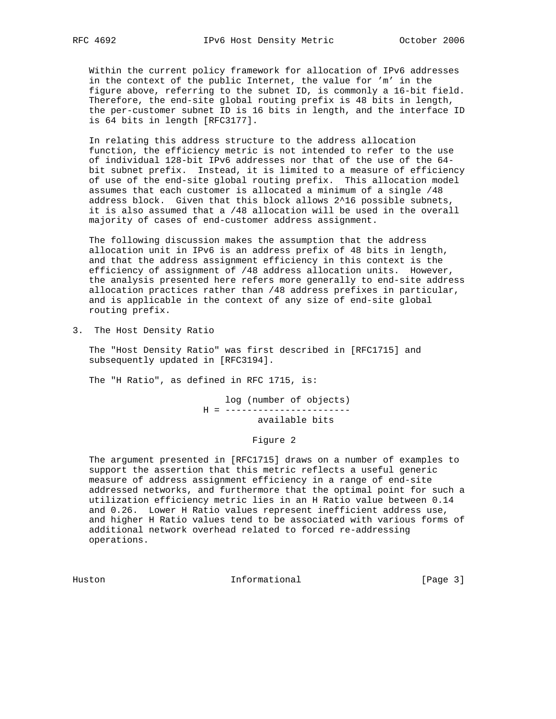Within the current policy framework for allocation of IPv6 addresses in the context of the public Internet, the value for 'm' in the figure above, referring to the subnet ID, is commonly a 16-bit field. Therefore, the end-site global routing prefix is 48 bits in length, the per-customer subnet ID is 16 bits in length, and the interface ID is 64 bits in length [RFC3177].

 In relating this address structure to the address allocation function, the efficiency metric is not intended to refer to the use of individual 128-bit IPv6 addresses nor that of the use of the 64 bit subnet prefix. Instead, it is limited to a measure of efficiency of use of the end-site global routing prefix. This allocation model assumes that each customer is allocated a minimum of a single /48 address block. Given that this block allows 2^16 possible subnets, it is also assumed that a /48 allocation will be used in the overall majority of cases of end-customer address assignment.

 The following discussion makes the assumption that the address allocation unit in IPv6 is an address prefix of 48 bits in length, and that the address assignment efficiency in this context is the efficiency of assignment of /48 address allocation units. However, the analysis presented here refers more generally to end-site address allocation practices rather than /48 address prefixes in particular, and is applicable in the context of any size of end-site global routing prefix.

3. The Host Density Ratio

 The "Host Density Ratio" was first described in [RFC1715] and subsequently updated in [RFC3194].

The "H Ratio", as defined in RFC 1715, is:

 log (number of objects) H = ---------------------- available bits

Figure 2

 The argument presented in [RFC1715] draws on a number of examples to support the assertion that this metric reflects a useful generic measure of address assignment efficiency in a range of end-site addressed networks, and furthermore that the optimal point for such a utilization efficiency metric lies in an H Ratio value between 0.14 and 0.26. Lower H Ratio values represent inefficient address use, and higher H Ratio values tend to be associated with various forms of additional network overhead related to forced re-addressing operations.

Huston Informational [Page 3]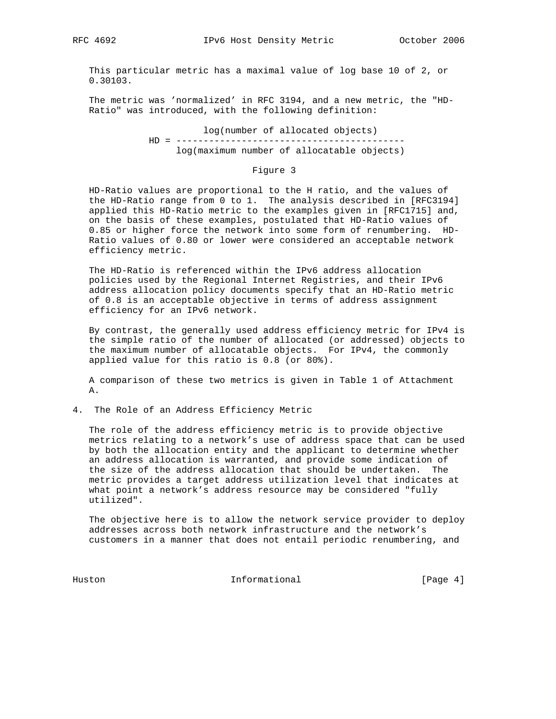This particular metric has a maximal value of log base 10 of 2, or 0.30103.

 The metric was 'normalized' in RFC 3194, and a new metric, the "HD- Ratio" was introduced, with the following definition:

> log(number of allocated objects) HD = ----------------------------------------- log(maximum number of allocatable objects)

> > Figure 3

 HD-Ratio values are proportional to the H ratio, and the values of the HD-Ratio range from 0 to 1. The analysis described in [RFC3194] applied this HD-Ratio metric to the examples given in [RFC1715] and, on the basis of these examples, postulated that HD-Ratio values of 0.85 or higher force the network into some form of renumbering. HD- Ratio values of 0.80 or lower were considered an acceptable network efficiency metric.

 The HD-Ratio is referenced within the IPv6 address allocation policies used by the Regional Internet Registries, and their IPv6 address allocation policy documents specify that an HD-Ratio metric of 0.8 is an acceptable objective in terms of address assignment efficiency for an IPv6 network.

 By contrast, the generally used address efficiency metric for IPv4 is the simple ratio of the number of allocated (or addressed) objects to the maximum number of allocatable objects. For IPv4, the commonly applied value for this ratio is 0.8 (or 80%).

 A comparison of these two metrics is given in Table 1 of Attachment A.

4. The Role of an Address Efficiency Metric

 The role of the address efficiency metric is to provide objective metrics relating to a network's use of address space that can be used by both the allocation entity and the applicant to determine whether an address allocation is warranted, and provide some indication of the size of the address allocation that should be undertaken. The metric provides a target address utilization level that indicates at what point a network's address resource may be considered "fully utilized".

 The objective here is to allow the network service provider to deploy addresses across both network infrastructure and the network's customers in a manner that does not entail periodic renumbering, and

Huston **Informational Informational** [Page 4]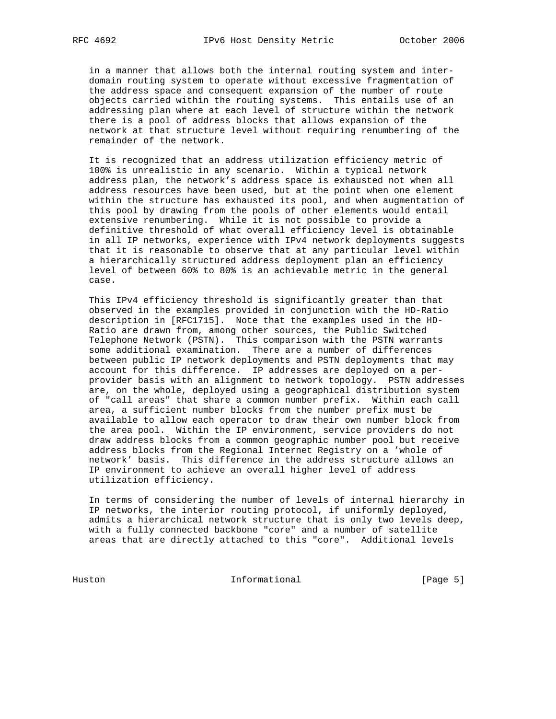in a manner that allows both the internal routing system and inter domain routing system to operate without excessive fragmentation of the address space and consequent expansion of the number of route objects carried within the routing systems. This entails use of an addressing plan where at each level of structure within the network there is a pool of address blocks that allows expansion of the network at that structure level without requiring renumbering of the remainder of the network.

 It is recognized that an address utilization efficiency metric of 100% is unrealistic in any scenario. Within a typical network address plan, the network's address space is exhausted not when all address resources have been used, but at the point when one element within the structure has exhausted its pool, and when augmentation of this pool by drawing from the pools of other elements would entail extensive renumbering. While it is not possible to provide a definitive threshold of what overall efficiency level is obtainable in all IP networks, experience with IPv4 network deployments suggests that it is reasonable to observe that at any particular level within a hierarchically structured address deployment plan an efficiency level of between 60% to 80% is an achievable metric in the general case.

 This IPv4 efficiency threshold is significantly greater than that observed in the examples provided in conjunction with the HD-Ratio description in [RFC1715]. Note that the examples used in the HD- Ratio are drawn from, among other sources, the Public Switched Telephone Network (PSTN). This comparison with the PSTN warrants some additional examination. There are a number of differences between public IP network deployments and PSTN deployments that may account for this difference. IP addresses are deployed on a per provider basis with an alignment to network topology. PSTN addresses are, on the whole, deployed using a geographical distribution system of "call areas" that share a common number prefix. Within each call area, a sufficient number blocks from the number prefix must be available to allow each operator to draw their own number block from the area pool. Within the IP environment, service providers do not draw address blocks from a common geographic number pool but receive address blocks from the Regional Internet Registry on a 'whole of network' basis. This difference in the address structure allows an IP environment to achieve an overall higher level of address utilization efficiency.

 In terms of considering the number of levels of internal hierarchy in IP networks, the interior routing protocol, if uniformly deployed, admits a hierarchical network structure that is only two levels deep, with a fully connected backbone "core" and a number of satellite areas that are directly attached to this "core". Additional levels

Huston Informational [Page 5]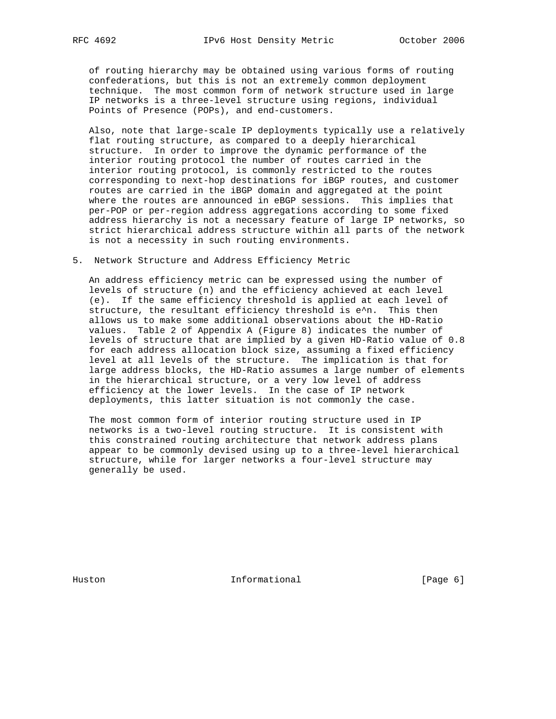of routing hierarchy may be obtained using various forms of routing confederations, but this is not an extremely common deployment technique. The most common form of network structure used in large IP networks is a three-level structure using regions, individual Points of Presence (POPs), and end-customers.

 Also, note that large-scale IP deployments typically use a relatively flat routing structure, as compared to a deeply hierarchical structure. In order to improve the dynamic performance of the interior routing protocol the number of routes carried in the interior routing protocol, is commonly restricted to the routes corresponding to next-hop destinations for iBGP routes, and customer routes are carried in the iBGP domain and aggregated at the point where the routes are announced in eBGP sessions. This implies that per-POP or per-region address aggregations according to some fixed address hierarchy is not a necessary feature of large IP networks, so strict hierarchical address structure within all parts of the network is not a necessity in such routing environments.

5. Network Structure and Address Efficiency Metric

 An address efficiency metric can be expressed using the number of levels of structure (n) and the efficiency achieved at each level (e). If the same efficiency threshold is applied at each level of structure, the resultant efficiency threshold is e^n. This then allows us to make some additional observations about the HD-Ratio values. Table 2 of Appendix A (Figure 8) indicates the number of levels of structure that are implied by a given HD-Ratio value of 0.8 for each address allocation block size, assuming a fixed efficiency level at all levels of the structure. The implication is that for large address blocks, the HD-Ratio assumes a large number of elements in the hierarchical structure, or a very low level of address efficiency at the lower levels. In the case of IP network deployments, this latter situation is not commonly the case.

 The most common form of interior routing structure used in IP networks is a two-level routing structure. It is consistent with this constrained routing architecture that network address plans appear to be commonly devised using up to a three-level hierarchical structure, while for larger networks a four-level structure may generally be used.

Huston **Informational Informational** [Page 6]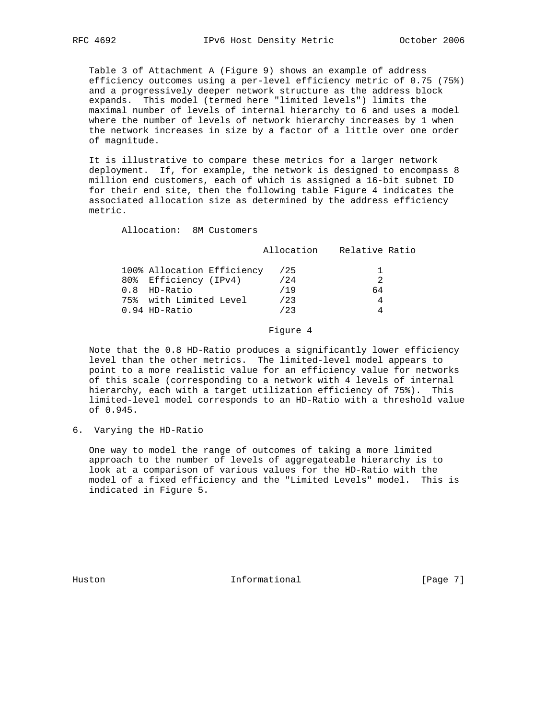Table 3 of Attachment A (Figure 9) shows an example of address efficiency outcomes using a per-level efficiency metric of 0.75 (75%) and a progressively deeper network structure as the address block expands. This model (termed here "limited levels") limits the maximal number of levels of internal hierarchy to 6 and uses a model where the number of levels of network hierarchy increases by 1 when the network increases in size by a factor of a little over one order of magnitude.

 It is illustrative to compare these metrics for a larger network deployment. If, for example, the network is designed to encompass 8 million end customers, each of which is assigned a 16-bit subnet ID for their end site, then the following table Figure 4 indicates the associated allocation size as determined by the address efficiency metric.

Allocation: 8M Customers

Allocation Relative Ratio

| 100% Allocation Efficiency<br>80% Efficiency (IPv4)<br>$0.8$ HD-Ratio<br>75% with Limited Level | /25<br>/24<br>/19<br>123 | 64 |
|-------------------------------------------------------------------------------------------------|--------------------------|----|
| $0.94$ HD-Ratio                                                                                 | 123                      |    |
|                                                                                                 |                          |    |

### Figure 4

 Note that the 0.8 HD-Ratio produces a significantly lower efficiency level than the other metrics. The limited-level model appears to point to a more realistic value for an efficiency value for networks of this scale (corresponding to a network with 4 levels of internal hierarchy, each with a target utilization efficiency of 75%). This limited-level model corresponds to an HD-Ratio with a threshold value of 0.945.

6. Varying the HD-Ratio

 One way to model the range of outcomes of taking a more limited approach to the number of levels of aggregateable hierarchy is to look at a comparison of various values for the HD-Ratio with the model of a fixed efficiency and the "Limited Levels" model. This is indicated in Figure 5.

Huston **Informational Informational** [Page 7]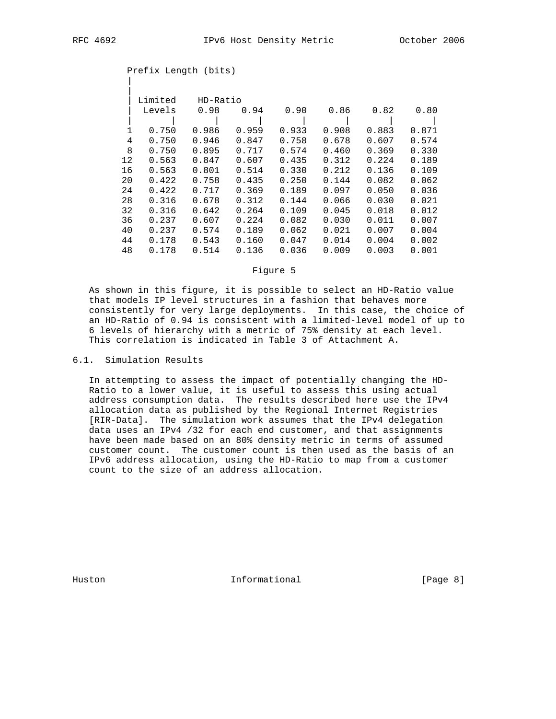|

|    | Limited    | HD-Ratio |       |       |       |       |       |
|----|------------|----------|-------|-------|-------|-------|-------|
|    | Levels     | 0.98     | 0.94  | 0.90  | 0.86  | 0.82  | 0.80  |
|    |            |          |       |       |       |       |       |
|    | 0.750      | 0.986    | 0.959 | 0.933 | 0.908 | 0.883 | 0.871 |
|    | 4<br>0.750 | 0.946    | 0.847 | 0.758 | 0.678 | 0.607 | 0.574 |
| 8  | 0.750      | 0.895    | 0.717 | 0.574 | 0.460 | 0.369 | 0.330 |
| 12 | 0.563      | 0.847    | 0.607 | 0.435 | 0.312 | 0.224 | 0.189 |
| 16 | 0.563      | 0.801    | 0.514 | 0.330 | 0.212 | 0.136 | 0.109 |
| 20 | 0.422      | 0.758    | 0.435 | 0.250 | 0.144 | 0.082 | 0.062 |
| 24 | 0.422      | 0.717    | 0.369 | 0.189 | 0.097 | 0.050 | 0.036 |
| 28 | 0.316      | 0.678    | 0.312 | 0.144 | 0.066 | 0.030 | 0.021 |
| 32 | 0.316      | 0.642    | 0.264 | 0.109 | 0.045 | 0.018 | 0.012 |
| 36 | 0.237      | 0.607    | 0.224 | 0.082 | 0.030 | 0.011 | 0.007 |
| 40 | 0.237      | 0.574    | 0.189 | 0.062 | 0.021 | 0.007 | 0.004 |
| 44 | 0.178      | 0.543    | 0.160 | 0.047 | 0.014 | 0.004 | 0.002 |
| 48 | 0.178      | 0.514    | 0.136 | 0.036 | 0.009 | 0.003 | 0.001 |

# Prefix Length (bits)

### Figure 5

 As shown in this figure, it is possible to select an HD-Ratio value that models IP level structures in a fashion that behaves more consistently for very large deployments. In this case, the choice of an HD-Ratio of 0.94 is consistent with a limited-level model of up to 6 levels of hierarchy with a metric of 75% density at each level. This correlation is indicated in Table 3 of Attachment A.

# 6.1. Simulation Results

 In attempting to assess the impact of potentially changing the HD- Ratio to a lower value, it is useful to assess this using actual address consumption data. The results described here use the IPv4 allocation data as published by the Regional Internet Registries [RIR-Data]. The simulation work assumes that the IPv4 delegation data uses an IPv4 /32 for each end customer, and that assignments have been made based on an 80% density metric in terms of assumed customer count. The customer count is then used as the basis of an IPv6 address allocation, using the HD-Ratio to map from a customer count to the size of an address allocation.

Huston **Informational Informational** [Page 8]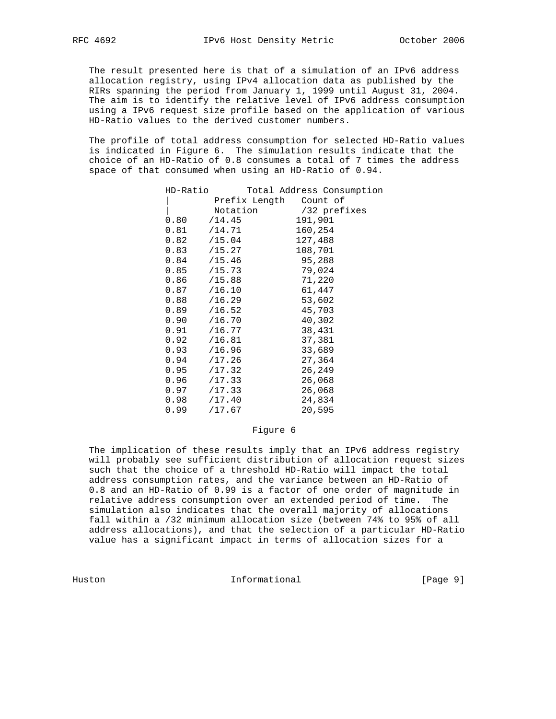The result presented here is that of a simulation of an IPv6 address allocation registry, using IPv4 allocation data as published by the RIRs spanning the period from January 1, 1999 until August 31, 2004. The aim is to identify the relative level of IPv6 address consumption using a IPv6 request size profile based on the application of various HD-Ratio values to the derived customer numbers.

 The profile of total address consumption for selected HD-Ratio values is indicated in Figure 6. The simulation results indicate that the choice of an HD-Ratio of 0.8 consumes a total of 7 times the address space of that consumed when using an HD-Ratio of 0.94.

| HD-Ratio        |          |                        | Total Address Consumption |
|-----------------|----------|------------------------|---------------------------|
|                 |          | Prefix Length Count of |                           |
|                 | Notation |                        | /32 prefixes              |
| $0.80$ /14.45   |          |                        | 191,901                   |
| 0.81            | /14.71   |                        | 160,254                   |
| $0.82$ /15.04   |          |                        | 127,488                   |
| $0.83$ /15.27   |          |                        | 108,701                   |
| $0.84$ /15.46   |          |                        | 95,288                    |
| $0.85$ /15.73   |          |                        | 79,024                    |
| $0.86$ /15.88   |          |                        | 71,220                    |
| $0.87$ /16.10   |          |                        | 61,447                    |
| $0.88$ /16.29   |          |                        | 53,602                    |
| $0.89$ /16.52   |          |                        | 45,703                    |
| 0.90 / 16.70    |          |                        | 40,302                    |
| 0.91 / 16.77    |          |                        | 38,431                    |
| $0.92$ /16.81   |          |                        | 37,381                    |
| $0.93$ /16.96   |          |                        | 33,689                    |
| $0.94$ /17.26   |          |                        | 27,364                    |
| $0.95$ $/17.32$ |          |                        | 26,249                    |
| $0.96$ $/17.33$ |          |                        | 26,068                    |
| $0.97$ /17.33   |          |                        | 26,068                    |
| $0.98$ $/17.40$ |          |                        | 24,834                    |
| 0.99            | /17.67   |                        | 20,595                    |
|                 |          |                        |                           |

#### Figure 6

 The implication of these results imply that an IPv6 address registry will probably see sufficient distribution of allocation request sizes such that the choice of a threshold HD-Ratio will impact the total address consumption rates, and the variance between an HD-Ratio of 0.8 and an HD-Ratio of 0.99 is a factor of one order of magnitude in relative address consumption over an extended period of time. The simulation also indicates that the overall majority of allocations fall within a /32 minimum allocation size (between 74% to 95% of all address allocations), and that the selection of a particular HD-Ratio value has a significant impact in terms of allocation sizes for a

Huston **Informational Informational** [Page 9]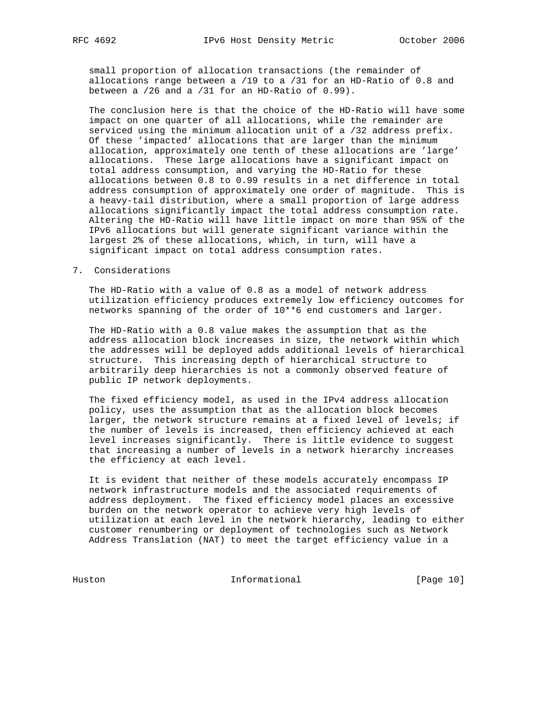small proportion of allocation transactions (the remainder of allocations range between a /19 to a /31 for an HD-Ratio of 0.8 and between a /26 and a /31 for an HD-Ratio of 0.99).

 The conclusion here is that the choice of the HD-Ratio will have some impact on one quarter of all allocations, while the remainder are serviced using the minimum allocation unit of a /32 address prefix. Of these 'impacted' allocations that are larger than the minimum allocation, approximately one tenth of these allocations are 'large' allocations. These large allocations have a significant impact on total address consumption, and varying the HD-Ratio for these allocations between 0.8 to 0.99 results in a net difference in total address consumption of approximately one order of magnitude. This is a heavy-tail distribution, where a small proportion of large address allocations significantly impact the total address consumption rate. Altering the HD-Ratio will have little impact on more than 95% of the IPv6 allocations but will generate significant variance within the largest 2% of these allocations, which, in turn, will have a significant impact on total address consumption rates.

### 7. Considerations

 The HD-Ratio with a value of 0.8 as a model of network address utilization efficiency produces extremely low efficiency outcomes for networks spanning of the order of 10\*\*6 end customers and larger.

 The HD-Ratio with a 0.8 value makes the assumption that as the address allocation block increases in size, the network within which the addresses will be deployed adds additional levels of hierarchical structure. This increasing depth of hierarchical structure to arbitrarily deep hierarchies is not a commonly observed feature of public IP network deployments.

 The fixed efficiency model, as used in the IPv4 address allocation policy, uses the assumption that as the allocation block becomes larger, the network structure remains at a fixed level of levels; if the number of levels is increased, then efficiency achieved at each level increases significantly. There is little evidence to suggest that increasing a number of levels in a network hierarchy increases the efficiency at each level.

 It is evident that neither of these models accurately encompass IP network infrastructure models and the associated requirements of address deployment. The fixed efficiency model places an excessive burden on the network operator to achieve very high levels of utilization at each level in the network hierarchy, leading to either customer renumbering or deployment of technologies such as Network Address Translation (NAT) to meet the target efficiency value in a

Huston Informational [Page 10]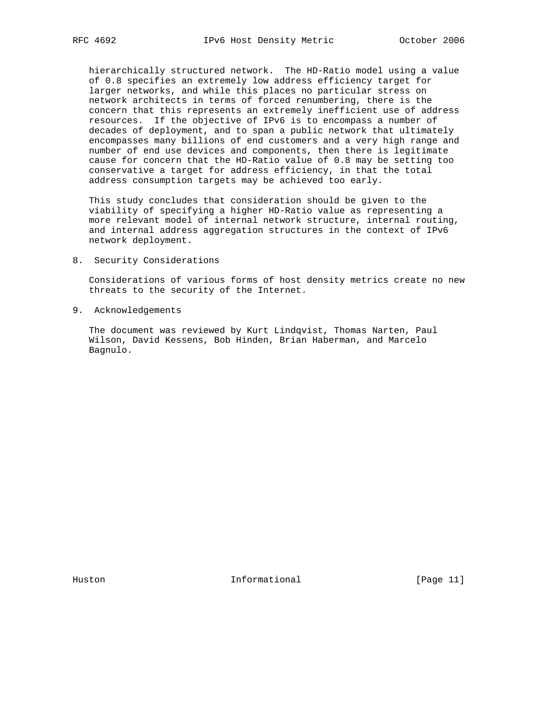hierarchically structured network. The HD-Ratio model using a value of 0.8 specifies an extremely low address efficiency target for larger networks, and while this places no particular stress on network architects in terms of forced renumbering, there is the concern that this represents an extremely inefficient use of address resources. If the objective of IPv6 is to encompass a number of decades of deployment, and to span a public network that ultimately encompasses many billions of end customers and a very high range and number of end use devices and components, then there is legitimate cause for concern that the HD-Ratio value of 0.8 may be setting too conservative a target for address efficiency, in that the total address consumption targets may be achieved too early.

 This study concludes that consideration should be given to the viability of specifying a higher HD-Ratio value as representing a more relevant model of internal network structure, internal routing, and internal address aggregation structures in the context of IPv6 network deployment.

8. Security Considerations

 Considerations of various forms of host density metrics create no new threats to the security of the Internet.

9. Acknowledgements

 The document was reviewed by Kurt Lindqvist, Thomas Narten, Paul Wilson, David Kessens, Bob Hinden, Brian Haberman, and Marcelo Bagnulo.

Huston **Informational Informational** [Page 11]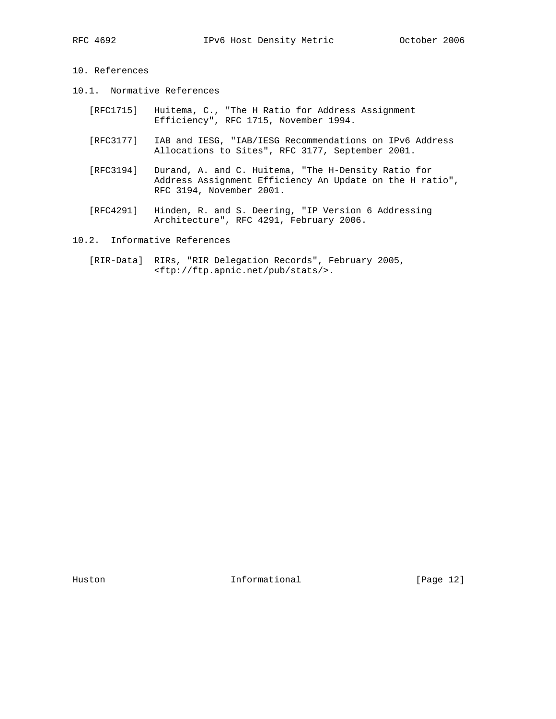# 10. References

- 10.1. Normative References
- [RFC1715] Huitema, C., "The H Ratio for Address Assignment Efficiency", RFC 1715, November 1994.
	- [RFC3177] IAB and IESG, "IAB/IESG Recommendations on IPv6 Address Allocations to Sites", RFC 3177, September 2001.
	- [RFC3194] Durand, A. and C. Huitema, "The H-Density Ratio for Address Assignment Efficiency An Update on the H ratio", RFC 3194, November 2001.
	- [RFC4291] Hinden, R. and S. Deering, "IP Version 6 Addressing Architecture", RFC 4291, February 2006.

# 10.2. Informative References

 [RIR-Data] RIRs, "RIR Delegation Records", February 2005, <ftp://ftp.apnic.net/pub/stats/>.

Huston **Informational Informational** [Page 12]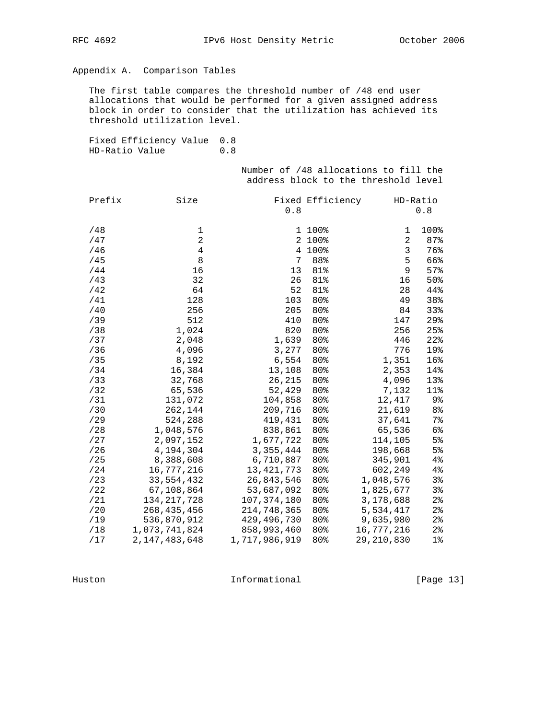# Appendix A. Comparison Tables

 The first table compares the threshold number of /48 end user allocations that would be performed for a given assigned address block in order to consider that the utilization has achieved its threshold utilization level.

 Fixed Efficiency Value 0.8 HD-Ratio Value 0.8

> Number of /48 allocations to fill the address block to the threshold level

| Prefix | Size             |               | Fixed Efficiency |                | HD-Ratio       |
|--------|------------------|---------------|------------------|----------------|----------------|
|        |                  | 0.8           |                  |                | 0.8            |
| /48    | 1                |               | 1 100%           | 1              | 100%           |
| /47    | $\overline{2}$   |               | 2 100%           | $\overline{a}$ | 87%            |
| /46    | 4                |               | 4 100%           | 3              | 76%            |
| /45    | 8                | 7             | 88%              | 5              | 66%            |
| /44    | 16               | 13            | 81%              | 9              | 57%            |
| /43    | 32               | 26            | 81%              | 16             | 50%            |
| /42    | 64               | 52            | 81%              | 28             | 44%            |
| /41    | 128              | 103           | 80%              | 49             | 38%            |
| /40    | 256              | 205           | 80%              | 84             | 33%            |
| /39    | 512              | 410           | 80%              | 147            | 29%            |
| /38    | 1,024            | 820           | 80%              | 256            | 25%            |
| /37    | 2,048            | 1,639         | 80%              | 446            | 22%            |
| /36    | 4,096            | 3,277         | 80%              | 776            | 19%            |
| /35    | 8,192            | 6,554         | 80%              | 1,351          | 16%            |
| /34    | 16,384           | 13,108        | 80%              | 2,353          | 14%            |
| /33    | 32,768           | 26,215        | 80%              | 4,096          | 13%            |
| /32    | 65,536           | 52,429        | 80%              | 7,132          | 11%            |
| /31    | 131,072          | 104,858       | 80%              | 12,417         | 9%             |
| /30    | 262,144          | 209,716       | 80%              | 21,619         | 8 <sup>°</sup> |
| /29    | 524,288          | 419,431       | 80%              | 37,641         | $7\%$          |
| /28    | 1,048,576        | 838,861       | 80%              | 65,536         | 6%             |
| /27    | 2,097,152        | 1,677,722     | 80%              | 114,105        | 5%             |
| /26    | 4,194,304        | 3, 355, 444   | 80%              | 198,668        | 5%             |
| /25    | 8,388,608        | 6,710,887     | 80%              | 345,901        | 4%             |
| /24    | 16,777,216       | 13, 421, 773  | 80%              | 602,249        | $4\,$          |
| /23    | 33,554,432       | 26,843,546    | 80%              | 1,048,576      | 3%             |
| /22    | 67,108,864       | 53,687,092    | 80%              | 1,825,677      | 3%             |
| /21    | 134, 217, 728    | 107,374,180   | 80%              | 3,178,688      | $2\,$          |
| /20    | 268, 435, 456    | 214,748,365   | 80%              | 5,534,417      | $2\,$          |
| /19    | 536,870,912      | 429, 496, 730 | 80%              | 9,635,980      | $2\,$          |
| /18    | 1,073,741,824    | 858,993,460   | 80%              | 16,777,216     | $2\,$          |
| /17    | 2, 147, 483, 648 | 1,717,986,919 | 80%              | 29,210,830     | $1\%$          |

Huston **Informational Informational** [Page 13]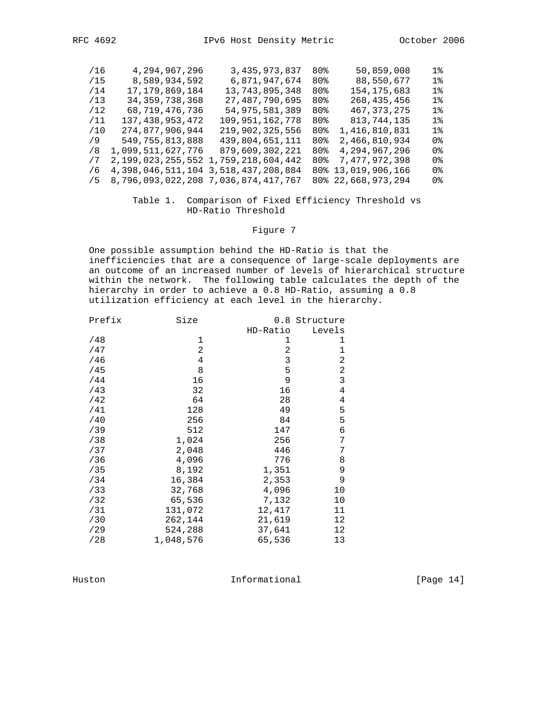| /16 | 4,294,967,296                       | 3,435,973,837                               | 80% | 50,859,008         | 1%    |
|-----|-------------------------------------|---------------------------------------------|-----|--------------------|-------|
| /15 | 8,589,934,592                       | 6,871,947,674                               | 80% | 88,550,677         | 1%    |
| /14 | 17, 179, 869, 184                   | 13,743,895,348                              | 80% | 154, 175, 683      | $1\%$ |
| /13 | 34, 359, 738, 368                   | 27, 487, 790, 695                           | 80% | 268, 435, 456      | $1\%$ |
| /12 | 68,719,476,736                      | 54,975,581,389                              | 80% | 467, 373, 275      | 1%    |
| /11 | 137, 438, 953, 472                  | 109,951,162,778                             | 80% | 813, 744, 135      | $1\%$ |
| /10 | 274,877,906,944                     | 219,902,325,556                             | 80% | 1,416,810,831      | $1\,$ |
| 79  | 549,755,813,888                     | 439,804,651,111                             | 80% | 2,466,810,934      | 0 %   |
| 78  | 1,099,511,627,776                   | 879,609,302,221                             | 80% | 4,294,967,296      | 0 %   |
| 77  |                                     | 2,199,023,255,552 1,759,218,604,442         | 80% | 7,477,972,398      | 0%    |
| 76  |                                     | 4, 398, 046, 511, 104 3, 518, 437, 208, 884 |     | 80% 13,019,906,166 | 0 %   |
| /5  | 8,796,093,022,208 7,036,874,417,767 |                                             |     | 80% 22,668,973,294 | 0 %   |
|     |                                     |                                             |     |                    |       |

# Table 1. Comparison of Fixed Efficiency Threshold vs HD-Ratio Threshold

# Figure 7

 One possible assumption behind the HD-Ratio is that the inefficiencies that are a consequence of large-scale deployments are an outcome of an increased number of levels of hierarchical structure within the network. The following table calculates the depth of the hierarchy in order to achieve a 0.8 HD-Ratio, assuming a 0.8 utilization efficiency at each level in the hierarchy.

| Prefix | Size           |          | 0.8 Structure |
|--------|----------------|----------|---------------|
|        |                | HD-Ratio | Levels        |
| /48    | 1              | 1        | 1             |
| /47    | 2              | 2        | 1             |
| /46    | $\overline{4}$ | 3        | 2             |
| /45    | 8              | 5        | 2             |
| /44    | 16             | 9        | 3             |
| /43    | 32             | 16       | 4             |
| /42    | 64             | 28       | 4             |
| /41    | 128            | 49       | 5             |
| /40    | 256            | 84       | 5             |
| /39    | 512            | 147      | 6             |
| /38    | 1,024          | 256      | 7             |
| /37    | 2,048          | 446      | 7             |
| /36    | 4,096          | 776      | 8             |
| /35    | 8,192          | 1,351    | 9             |
| /34    | 16,384         | 2,353    | 9             |
| /33    | 32,768         | 4,096    | 10            |
| /32    | 65,536         | 7,132    | 10            |
| /31    | 131,072        | 12,417   | 11            |
| /30    | 262,144        | 21,619   | 12            |
| /29    | 524,288        | 37,641   | 12            |
| /28    | 1,048,576      | 65,536   | 13            |

Huston Informational [Page 14]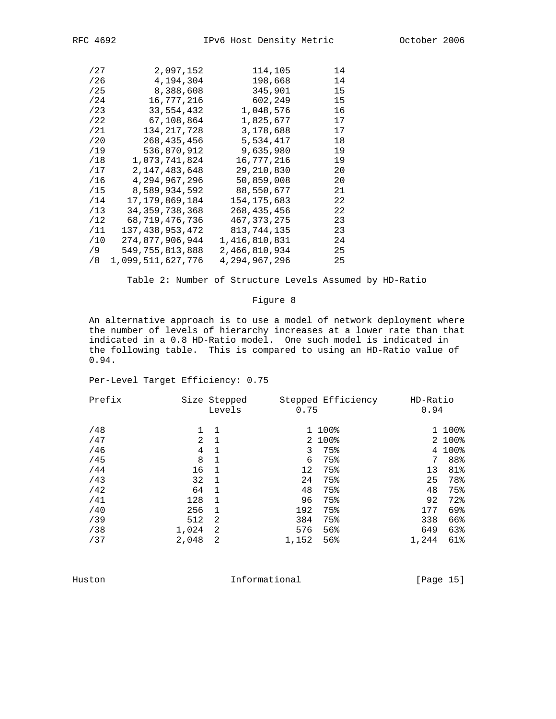| /27 | 2,097,152         | 114,105       | 14 |
|-----|-------------------|---------------|----|
| /26 | 4,194,304         | 198,668       | 14 |
| /25 | 8,388,608         | 345,901       | 15 |
| /24 | 16,777,216        | 602,249       | 15 |
| /23 | 33,554,432        | 1,048,576     | 16 |
| /22 | 67,108,864        | 1,825,677     | 17 |
| /21 | 134, 217, 728     | 3,178,688     | 17 |
| /20 | 268,435,456       | 5,534,417     | 18 |
| /19 | 536,870,912       | 9,635,980     | 19 |
| /18 | 1,073,741,824     | 16,777,216    | 19 |
| /17 | 2,147,483,648     | 29,210,830    | 20 |
| /16 | 4,294,967,296     | 50,859,008    | 20 |
| /15 | 8,589,934,592     | 88,550,677    | 21 |
| /14 | 17,179,869,184    | 154,175,683   | 22 |
| /13 | 34, 359, 738, 368 | 268,435,456   | 22 |
| /12 | 68,719,476,736    | 467, 373, 275 | 23 |
| /11 | 137,438,953,472   | 813,744,135   | 23 |
| /10 | 274,877,906,944   | 1,416,810,831 | 24 |
| /9  | 549,755,813,888   | 2,466,810,934 | 25 |
| /8  | 1,099,511,627,776 | 4,294,967,296 | 25 |
|     |                   |               |    |

Table 2: Number of Structure Levels Assumed by HD-Ratio

# Figure 8

 An alternative approach is to use a model of network deployment where the number of levels of hierarchy increases at a lower rate than that indicated in a 0.8 HD-Ratio model. One such model is indicated in the following table. This is compared to using an HD-Ratio value of 0.94.

Per-Level Target Efficiency: 0.75

| Prefix |       | Size Stepped<br>Levels | 0.75  | Stepped Efficiency | HD-Ratio<br>0.94 |        |
|--------|-------|------------------------|-------|--------------------|------------------|--------|
| /48    |       | -1                     |       | 1 100%             |                  | 1 100% |
| /47    | 2     | 1                      |       | 2 100%             |                  | 2 100% |
| /46    | 4     | 1                      | 3     | 75%                |                  | 4 100% |
| /45    | 8     | 1                      | 6     | 75%                | 7                | 88%    |
| /44    | 16    | 1                      | 12    | 75%                | 13               | 81%    |
| /43    | 32    | 1                      | 24    | 75%                | 25               | 78%    |
| /42    | 64    | -1                     | 48    | 75%                | 48               | 75%    |
| /41    | 128   |                        | 96    | 75%                | 92               | 72%    |
| /40    | 256   | 1                      | 192   | 75%                | 177              | 69%    |
| /39    | 512   | 2                      | 384   | 75%                | 338              | 66%    |
| /38    | 1,024 | -2                     | 576   | 56%                | 649              | 63%    |
| /37    | 2,048 | 2                      | 1,152 | 56%                | 1,244            | 61%    |
|        |       |                        |       |                    |                  |        |

Huston Informational [Page 15]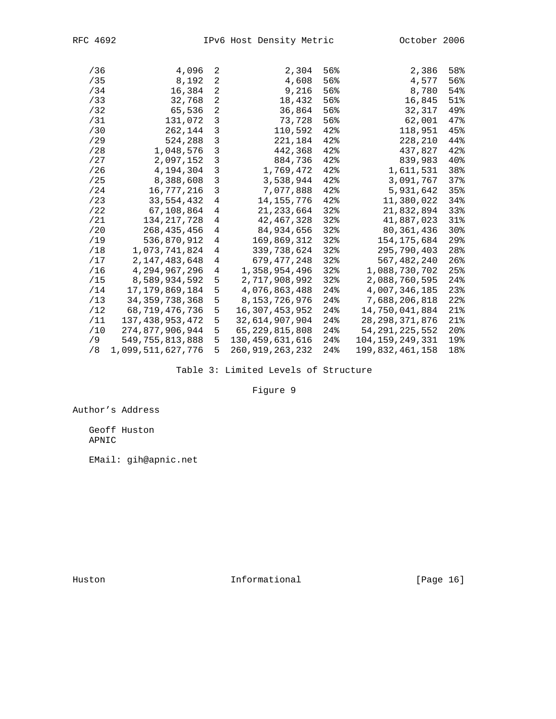| /36 | 4,096             | 2 | 2,304           | 56% | 2,386             | 58%             |
|-----|-------------------|---|-----------------|-----|-------------------|-----------------|
| /35 | 8,192             | 2 | 4,608           | 56% | 4,577             | 56%             |
| /34 | 16,384            | 2 | 9,216           | 56% | 8,780             | 54%             |
| /33 | 32,768            | 2 | 18,432          | 56% | 16,845            | 51%             |
| /32 | 65,536            | 2 | 36,864          | 56% | 32,317            | 49%             |
| /31 | 131,072           | 3 | 73,728          | 56% | 62,001            | 47%             |
| /30 | 262,144           | 3 | 110,592         | 42% | 118,951           | 45%             |
| /29 | 524,288           | 3 | 221,184         | 42% | 228,210           | 44%             |
| /28 | 1,048,576         | 3 | 442,368         | 42% | 437,827           | 42%             |
| /27 | 2,097,152         | 3 | 884,736         | 42% | 839,983           | 40 <sub>8</sub> |
| /26 | 4,194,304         | 3 | 1,769,472       | 42% | 1,611,531         | 38%             |
| /25 | 8,388,608         | 3 | 3,538,944       | 42% | 3,091,767         | 37%             |
| /24 | 16,777,216        | 3 | 7,077,888       | 42% | 5,931,642         | 35%             |
| /23 | 33,554,432        | 4 | 14,155,776      | 42% | 11,380,022        | 34%             |
| /22 | 67,108,864        | 4 | 21, 233, 664    | 32  | 21,832,894        | 33%             |
| /21 | 134,217,728       | 4 | 42,467,328      | 32% | 41,887,023        | 31%             |
| /20 | 268,435,456       | 4 | 84,934,656      | 32% | 80,361,436        | 30 <sub>8</sub> |
| /19 | 536,870,912       | 4 | 169,869,312     | 32% | 154,175,684       | 29 <sub>8</sub> |
| /18 | 1,073,741,824     | 4 | 339,738,624     | 32% | 295,790,403       | 28%             |
| /17 | 2,147,483,648     | 4 | 679,477,248     | 32  | 567,482,240       | $26$ %          |
| /16 | 4,294,967,296     | 4 | 1,358,954,496   | 32% | 1,088,730,702     | 25%             |
| /15 | 8,589,934,592     | 5 | 2,717,908,992   | 32% | 2,088,760,595     | 24              |
| /14 | 17,179,869,184    | 5 | 4,076,863,488   | 24% | 4,007,346,185     | 23              |
| /13 | 34, 359, 738, 368 | 5 | 8,153,726,976   | 24  | 7,688,206,818     | 22              |
| /12 | 68,719,476,736    | 5 | 16,307,453,952  | 24% | 14,750,041,884    | $21$ $\circ$    |
| /11 | 137,438,953,472   | 5 | 32,614,907,904  | 24% | 28, 298, 371, 876 | 21%             |
| /10 | 274,877,906,944   | 5 | 65,229,815,808  | 24% | 54,291,225,552    | 20 <sub>8</sub> |
| /9  | 549,755,813,888   | 5 | 130,459,631,616 | 24% | 104,159,249,331   | 19%             |
| /8  | 1,099,511,627,776 | 5 | 260,919,263,232 | 24  | 199,832,461,158   | 18%             |
|     |                   |   |                 |     |                   |                 |

Table 3: Limited Levels of Structure

Figure 9

Author's Address

 Geoff Huston APNIC

EMail: gih@apnic.net

Huston **Informational Informational** [Page 16]